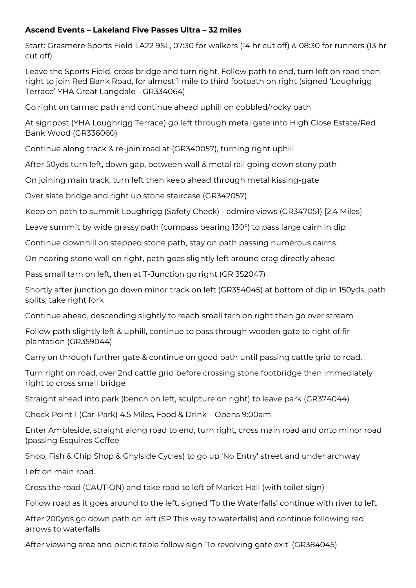## **Ascend Events – Lakeland Five Passes Ultra – 32 miles**

Start: Grasmere Sports Field LA22 9SL, 07:30 for walkers (14 hr cut off) & 08:30 for runners (13 hr cut off)

Leave the Sports Field, cross bridge and turn right. Follow path to end, turn left on road then right to join Red Bank Road, for almost 1 mile to third footpath on right (signed 'Loughrigg Terrace' YHA Great Langdale - GR334064)

Go right on tarmac path and continue ahead uphill on cobbled/rocky path

At signpost (YHA Loughrigg Terrace) go left through metal gate into High Close Estate/Red Bank Wood (GR336060)

Continue along track & re-join road at (GR340057), turning right uphill

After 50yds turn left, down gap, between wall & metal rail going down stony path

On joining main track, turn left then keep ahead through metal kissing-gate

Over slate bridge and right up stone staircase (GR342057)

Keep on path to summit Loughrigg (Safety Check) - admire views (GR347051) [2.4 Miles]

Leave summit by wide grassy path (compass bearing 130°) to pass large cairn in dip

Continue downhill on stepped stone path, stay on path passing numerous cairns.

On nearing stone wall on right, path goes slightly left around crag directly ahead

Pass small tarn on left, then at T-Junction go right (GR 352047)

Shortly after junction go down minor track on left (GR354045) at bottom of dip in 150yds, path splits, take right fork

Continue ahead, descending slightly to reach small tarn on right then go over stream

Follow path slightly left & uphill, continue to pass through wooden gate to right of fir plantation (GR359044)

Carry on through further gate & continue on good path until passing cattle grid to road.

Turn right on road, over 2nd cattle grid before crossing stone footbridge then immediately right to cross small bridge

Straight ahead into park (bench on left, sculpture on right) to leave park (GR374044)

Check Point 1 (Car-Park) 4.5 Miles, Food & Drink – Opens 9:00am

Enter Ambleside, straight along road to end, turn right, cross main road and onto minor road (passing Esquires Coffee

Shop, Fish & Chip Shop & Ghylside Cycles) to go up 'No Entry' street and under archway

Left on main road.

Cross the road (CAUTION) and take road to left of Market Hall (with toilet sign)

Follow road as it goes around to the left, signed 'To the Waterfalls' continue with river to left

After 200yds go down path on left (SP This way to waterfalls) and continue following red arrows to waterfalls

After viewing area and picnic table follow sign 'To revolving gate exit' (GR384045)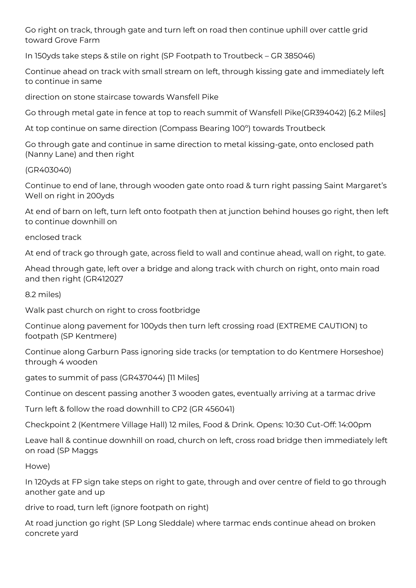Go right on track, through gate and turn left on road then continue uphill over cattle grid toward Grove Farm

In 150yds take steps & stile on right (SP Footpath to Troutbeck – GR 385046)

Continue ahead on track with small stream on left, through kissing gate and immediately left to continue in same

direction on stone staircase towards Wansfell Pike

Go through metal gate in fence at top to reach summit of Wansfell Pike(GR394042) [6.2 Miles]

At top continue on same direction (Compass Bearing 100º) towards Troutbeck

Go through gate and continue in same direction to metal kissing-gate, onto enclosed path (Nanny Lane) and then right

(GR403040)

Continue to end of lane, through wooden gate onto road & turn right passing Saint Margaret's Well on right in 200yds

At end of barn on left, turn left onto footpath then at junction behind houses go right, then left to continue downhill on

enclosed track

At end of track go through gate, across field to wall and continue ahead, wall on right, to gate.

Ahead through gate, left over a bridge and along track with church on right, onto main road and then right (GR412027

8.2 miles)

Walk past church on right to cross footbridge

Continue along pavement for 100yds then turn left crossing road (EXTREME CAUTION) to footpath (SP Kentmere)

Continue along Garburn Pass ignoring side tracks (or temptation to do Kentmere Horseshoe) through 4 wooden

gates to summit of pass (GR437044) [11 Miles]

Continue on descent passing another 3 wooden gates, eventually arriving at a tarmac drive

Turn left & follow the road downhill to CP2 (GR 456041)

Checkpoint 2 (Kentmere Village Hall) 12 miles, Food & Drink. Opens: 10:30 Cut-Off: 14:00pm

Leave hall & continue downhill on road, church on left, cross road bridge then immediately left on road (SP Maggs

Howe)

In 120yds at FP sign take steps on right to gate, through and over centre of field to go through another gate and up

drive to road, turn left (ignore footpath on right)

At road junction go right (SP Long Sleddale) where tarmac ends continue ahead on broken concrete yard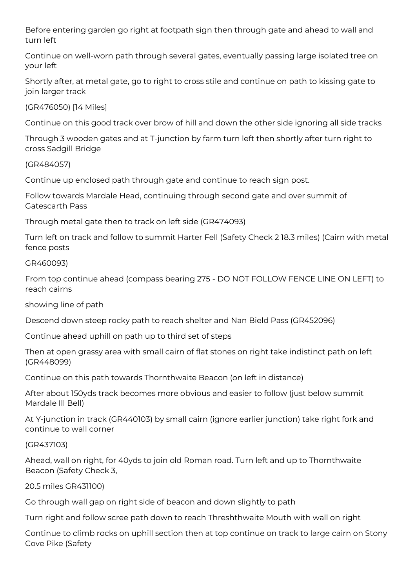Before entering garden go right at footpath sign then through gate and ahead to wall and turn left

Continue on well-worn path through several gates, eventually passing large isolated tree on your left

Shortly after, at metal gate, go to right to cross stile and continue on path to kissing gate to join larger track

(GR476050) [14 Miles]

Continue on this good track over brow of hill and down the other side ignoring all side tracks

Through 3 wooden gates and at T-junction by farm turn left then shortly after turn right to cross Sadgill Bridge

(GR484057)

Continue up enclosed path through gate and continue to reach sign post.

Follow towards Mardale Head, continuing through second gate and over summit of Gatescarth Pass

Through metal gate then to track on left side (GR474093)

Turn left on track and follow to summit Harter Fell (Safety Check 2 18.3 miles) (Cairn with metal fence posts

GR460093)

From top continue ahead (compass bearing 275 - DO NOT FOLLOW FENCE LINE ON LEFT) to reach cairns

showing line of path

Descend down steep rocky path to reach shelter and Nan Bield Pass (GR452096)

Continue ahead uphill on path up to third set of steps

Then at open grassy area with small cairn of flat stones on right take indistinct path on left (GR448099)

Continue on this path towards Thornthwaite Beacon (on left in distance)

After about 150yds track becomes more obvious and easier to follow (just below summit Mardale Ill Bell)

At Y-junction in track (GR440103) by small cairn (ignore earlier junction) take right fork and continue to wall corner

(GR437103)

Ahead, wall on right, for 40yds to join old Roman road. Turn left and up to Thornthwaite Beacon (Safety Check 3,

20.5 miles GR431100)

Go through wall gap on right side of beacon and down slightly to path

Turn right and follow scree path down to reach Threshthwaite Mouth with wall on right

Continue to climb rocks on uphill section then at top continue on track to large cairn on Stony Cove Pike (Safety